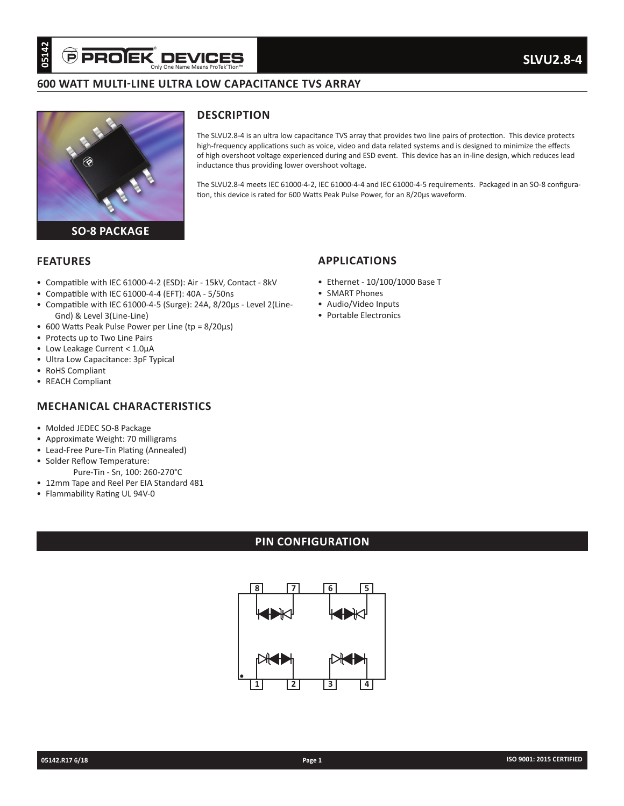# **600 WATT MULTI-LINE ULTRA LOW CAPACITANCE TVS ARRAY**



#### **DESCRIPTION**

The SLVU2.8-4 is an ultra low capacitance TVS array that provides two line pairs of protection. This device protects high-frequency applications such as voice, video and data related systems and is designed to minimize the effects of high overshoot voltage experienced during and ESD event. This device has an in-line design, which reduces lead inductance thus providing lower overshoot voltage.

The SLVU2.8-4 meets IEC 61000-4-2, IEC 61000-4-4 and IEC 61000-4-5 requirements. Packaged in an SO-8 configuration, this device is rated for 600 Watts Peak Pulse Power, for an 8/20µs waveform.

#### **FEATURES**

- Compatible with IEC 61000-4-2 (ESD): Air 15kV, Contact 8kV
- Compatible with IEC 61000-4-4 (EFT): 40A 5/50ns
- Compatible with IEC 61000-4-5 (Surge): 24A, 8/20µs Level 2(Line-Gnd) & Level 3(Line-Line)
- 600 Watts Peak Pulse Power per Line (tp = 8/20µs)
- Protects up to Two Line Pairs
- Low Leakage Current < 1.0µA
- Ultra Low Capacitance: 3pF Typical
- RoHS Compliant
- REACH Compliant

## **MECHANICAL CHARACTERISTICS**

- Molded JEDEC SO-8 Package
- Approximate Weight: 70 milligrams
- Lead-Free Pure-Tin Plating (Annealed)
- Solder Reflow Temperature:
- Pure-Tin Sn, 100: 260-270°C • 12mm Tape and Reel Per EIA Standard 481
- Flammability Rating UL 94V-0

# **PIN CONFIGURATION**



# **APPLICATIONS**

- Ethernet 10/100/1000 Base T
- SMART Phones
- Audio/Video Inputs
- Portable Electronics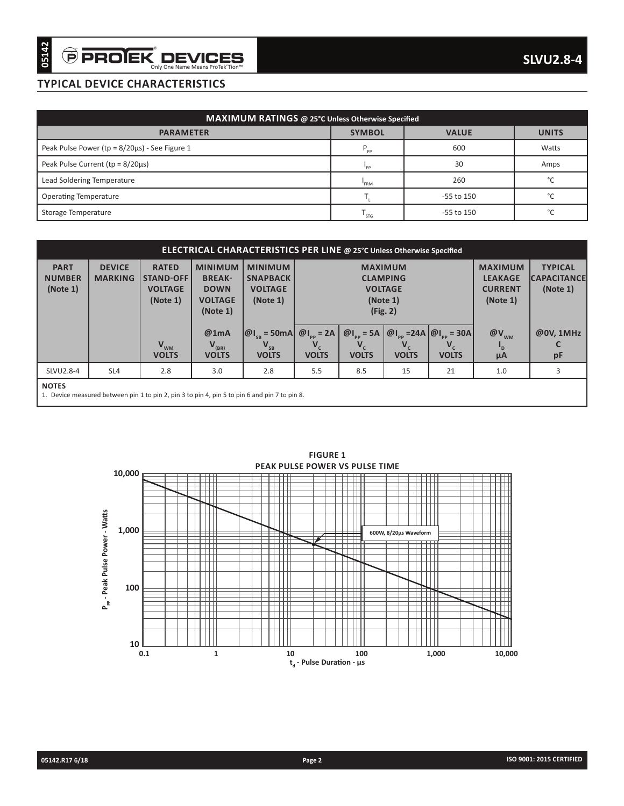# **TYPICAL DEVICE CHARACTERISTICS**

| MAXIMUM RATINGS @ 25°C Unless Otherwise Specified |                 |              |              |  |  |  |  |  |
|---------------------------------------------------|-----------------|--------------|--------------|--|--|--|--|--|
| <b>PARAMETER</b>                                  | <b>SYMBOL</b>   | <b>VALUE</b> | <b>UNITS</b> |  |  |  |  |  |
| Peak Pulse Power (tp = 8/20µs) - See Figure 1     | $P_{\text{pp}}$ | 600          | Watts        |  |  |  |  |  |
| Peak Pulse Current ( $tp = 8/20\mu s$ )           | "PP             | 30           | Amps         |  |  |  |  |  |
| Lead Soldering Temperature                        | FRM             | 260          | $\sim$       |  |  |  |  |  |
| <b>Operating Temperature</b>                      |                 | -55 to 150   | $\sim$       |  |  |  |  |  |
| Storage Temperature                               | ' STG           | -55 to 150   | $\sim$       |  |  |  |  |  |

| <b>ELECTRICAL CHARACTERISTICS PER LINE @ 25°C Unless Otherwise Specified</b> |                                                                                               |                                                                |                                                                              |                                                                 |                                                           |                                                                             |                                                                |                                                                                 |                         |                 |
|------------------------------------------------------------------------------|-----------------------------------------------------------------------------------------------|----------------------------------------------------------------|------------------------------------------------------------------------------|-----------------------------------------------------------------|-----------------------------------------------------------|-----------------------------------------------------------------------------|----------------------------------------------------------------|---------------------------------------------------------------------------------|-------------------------|-----------------|
| <b>PART</b><br><b>NUMBER</b><br>(Note 1)                                     | <b>DEVICE</b><br><b>MARKING</b>                                                               | <b>RATED</b><br><b>STAND-OFF</b><br><b>VOLTAGE</b><br>(Note 1) | <b>MINIMUM</b><br><b>BREAK-</b><br><b>DOWN</b><br><b>VOLTAGE</b><br>(Note 1) | <b>MINIMUM</b><br><b>SNAPBACK</b><br><b>VOLTAGE</b><br>(Note 1) |                                                           | <b>MAXIMUM</b><br><b>CLAMPING</b><br><b>VOLTAGE</b><br>(Note 1)<br>(Fig. 2) | <b>MAXIMUM</b><br><b>LEAKAGE</b><br><b>CURRENT</b><br>(Note 1) | <b>TYPICAL</b><br><b>CAPACITANCE</b><br>(Note 1)                                |                         |                 |
|                                                                              |                                                                                               | $V_{WM}$<br><b>VOLTS</b>                                       | @1mA<br>$V_{(BR)}$<br><b>VOLTS</b>                                           | $ \omega _{\alpha}$ = 50mA<br>$V_{SB}$<br><b>VOLTS</b>          | $\omega_{\text{L}_p}$ = 2A<br>$V_{\rm c}$<br><b>VOLTS</b> | $\omega_{\text{I}_{\text{pp}}}$ = 5A<br><b>VOLTS</b>                        | <b>VOLTS</b>                                                   | @ $I_{\text{eq}}$ =24A $ \omega I_{\text{eq}}$ = 30A<br>$V_{c}$<br><b>VOLTS</b> | $\omega_{\rm{w}}$<br>μA | @0V. 1MHz<br>pF |
| SLVU2.8-4                                                                    | SL4                                                                                           | 2.8                                                            | 3.0                                                                          | 2.8                                                             | 5.5                                                       | 8.5                                                                         | 15                                                             | 21                                                                              | 1.0                     | 3               |
| <b>NOTES</b>                                                                 | 1. Device measured between pin 1 to pin 2, pin 3 to pin 4, pin 5 to pin 6 and pin 7 to pin 8. |                                                                |                                                                              |                                                                 |                                                           |                                                                             |                                                                |                                                                                 |                         |                 |



**FIGURE 1**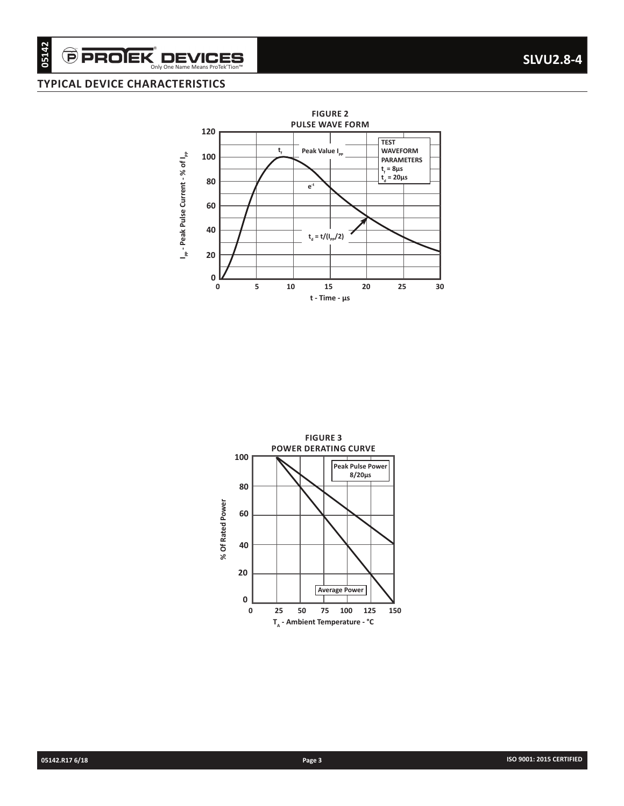# $\overset{\frown}{\Theta}$  PRO $\overset{\bullet}{\mathbf{EK}}$  DEVICES

## **TYPICAL DEVICE CHARACTERISTICS**



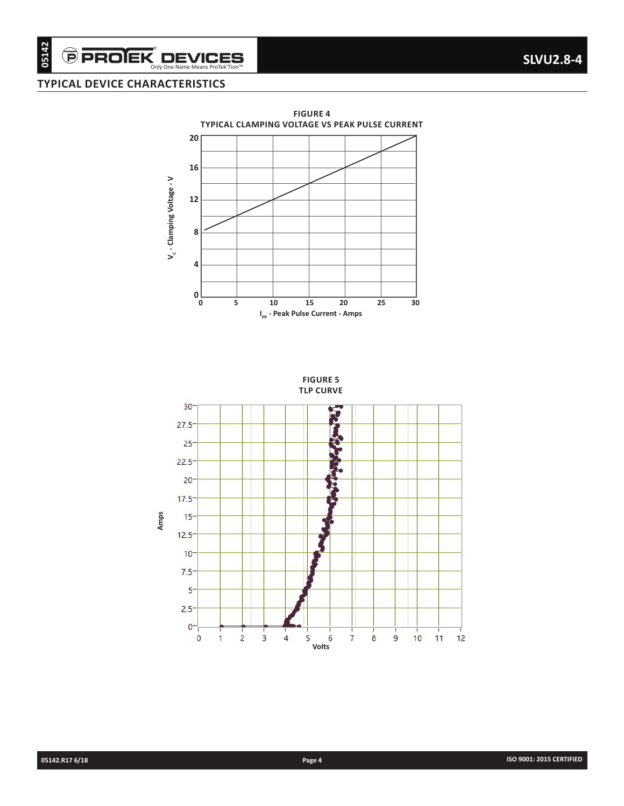$\widehat{\boldsymbol{\Theta}}$  PROIEK $\operatorname*{D}\textbf{EVICES}_{\textbf{Only One Name Mean ProtekTion"}}$ 

#### **TYPICAL DEVICE CHARACTERISTICS**



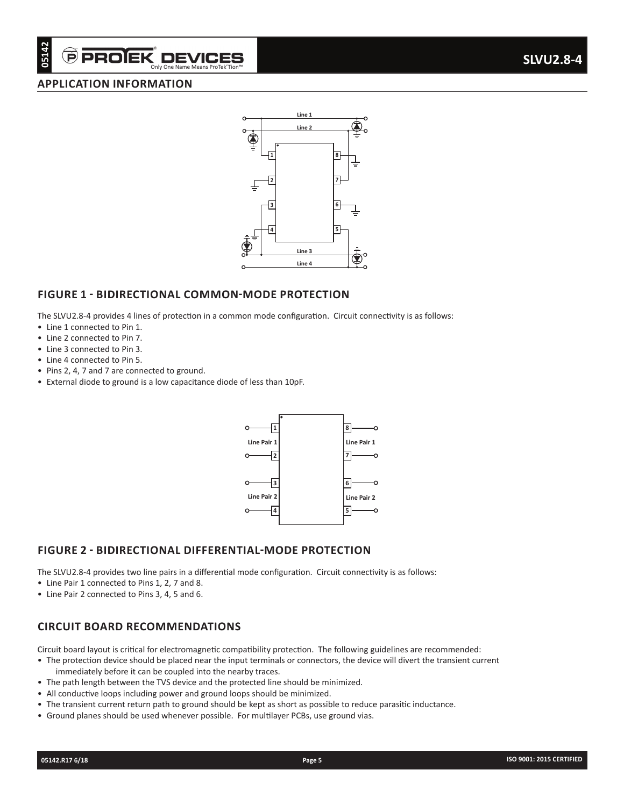# Only One Name Means ProTek'Tion

#### **APPLICATION INFORMATION**



#### **FIGURE 1 - BIDIRECTIONAL COMMON-MODE PROTECTION**

The SLVU2.8-4 provides 4 lines of protection in a common mode configuration. Circuit connectivity is as follows:

- Line 1 connected to Pin 1.
- Line 2 connected to Pin 7.
- Line 3 connected to Pin 3.
- Line 4 connected to Pin 5.
- Pins 2, 4, 7 and 7 are connected to ground.
- External diode to ground is a low capacitance diode of less than 10pF.



#### **FIGURE 2 - BIDIRECTIONAL DIFFERENTIAL-MODE PROTECTION**

The SLVU2.8-4 provides two line pairs in a differential mode configuration. Circuit connectivity is as follows:

- Line Pair 1 connected to Pins 1, 2, 7 and 8.
- Line Pair 2 connected to Pins 3, 4, 5 and 6.

#### **CIRCUIT BOARD RECOMMENDATIONS**

Circuit board layout is critical for electromagnetic compatibility protection. The following guidelines are recommended:

- The protection device should be placed near the input terminals or connectors, the device will divert the transient current immediately before it can be coupled into the nearby traces.
- The path length between the TVS device and the protected line should be minimized.
- All conductive loops including power and ground loops should be minimized.
- The transient current return path to ground should be kept as short as possible to reduce parasitic inductance.
- Ground planes should be used whenever possible. For multilayer PCBs, use ground vias.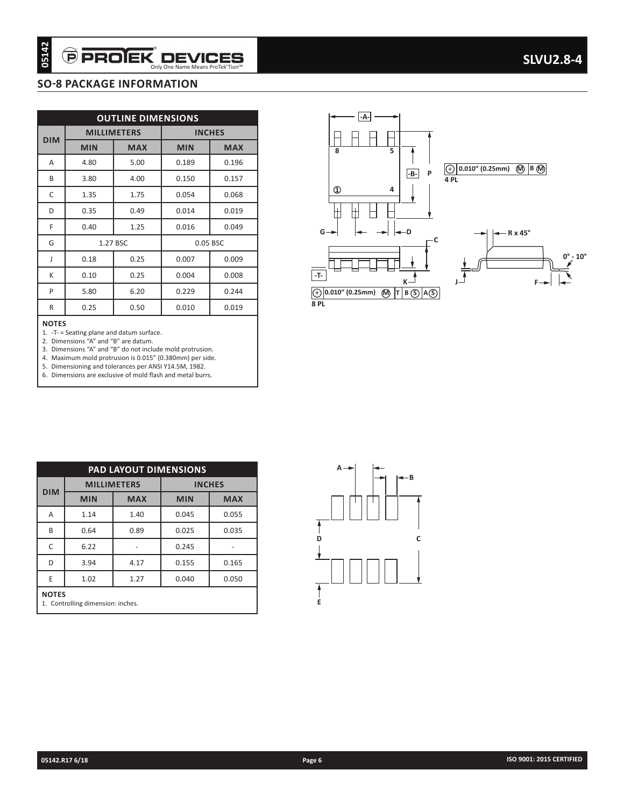#### **SO-8 PACKAGE INFORMATION**

| 05142        | <b>PROEK</b>                      |                           | Only One Name Means ProTek'Tion™ |               |                                  |
|--------------|-----------------------------------|---------------------------|----------------------------------|---------------|----------------------------------|
|              | <b>SO-8 PACKAGE INFORMATION</b>   |                           |                                  |               |                                  |
|              |                                   |                           |                                  |               |                                  |
|              |                                   | <b>OUTLINE DIMENSIONS</b> |                                  |               |                                  |
| <b>DIM</b>   | <b>MILLIMETERS</b>                |                           |                                  | <b>INCHES</b> |                                  |
|              | <b>MIN</b>                        | <b>MAX</b>                | <b>MIN</b>                       | <b>MAX</b>    |                                  |
| A            | 4.80                              | 5.00                      | 0.189                            | 0.196         |                                  |
| В            | 3.80                              | 4.00                      | 0.150                            | 0.157         |                                  |
| C            | 1.35                              | 1.75                      | 0.054                            | 0.068         |                                  |
| D            | 0.35                              | 0.49                      | 0.014                            | 0.019         |                                  |
| F            | 0.40                              | 1.25                      | 0.016                            | 0.049         |                                  |
| G            |                                   | 1.27 BSC                  |                                  | 0.05 BSC      |                                  |
| J            | 0.18                              | 0.25                      | 0.007                            | 0.009         |                                  |
| K            | 0.10                              | 0.25                      | 0.004                            | 0.008         | $-1$                             |
| P            | 5.80                              | 6.20                      | 0.229                            | 0.244         | $\overline{\bigoplus_{\bf 8 P}}$ |
| R            | 0.25                              | 0.50                      | 0.010                            | 0.019         |                                  |
|              |                                   |                           |                                  |               |                                  |
|              |                                   | PAD LAYOUT DIMENSIONS     |                                  |               |                                  |
| <b>DIM</b>   | <b>MILLIMETERS</b>                |                           | <b>INCHES</b>                    |               |                                  |
|              | <b>MIN</b>                        | <b>MAX</b>                | <b>MIN</b>                       | <b>MAX</b>    |                                  |
| Α            | 1.14                              | 1.40                      | 0.045                            | 0.055         |                                  |
| Β            | 0.64                              | 0.89                      | 0.025                            | 0.035         | Ď                                |
| С            | 6.22                              | $\sim$                    | 0.245                            | $\sim$        |                                  |
| D            | 3.94                              | 4.17                      | 0.155                            | 0.165         |                                  |
| Ε            | 1.02                              | 1.27                      | 0.040                            | 0.050         |                                  |
| <b>NOTES</b> | 1. Controlling dimension: inches. |                           |                                  |               | Ε                                |
|              |                                   |                           |                                  |               |                                  |
|              | 05142.R17 6/18                    |                           |                                  |               | Page 6                           |





| <b>PAD LAYOUT DIMENSIONS</b> |                                                   |            |               |            |  |  |  |  |  |
|------------------------------|---------------------------------------------------|------------|---------------|------------|--|--|--|--|--|
| <b>DIM</b>                   | <b>MILLIMETERS</b>                                |            | <b>INCHES</b> |            |  |  |  |  |  |
|                              | <b>MIN</b>                                        | <b>MAX</b> | <b>MIN</b>    | <b>MAX</b> |  |  |  |  |  |
| Α                            | 1.14                                              | 1.40       | 0.045         | 0.055      |  |  |  |  |  |
| B                            | 0.64                                              | 0.89       | 0.025         | 0.035      |  |  |  |  |  |
| C                            | 6.22                                              |            | 0.245         |            |  |  |  |  |  |
| D                            | 3.94                                              | 4.17       | 0.155         | 0.165      |  |  |  |  |  |
| E                            | 1.02                                              | 1.27       | 0.040         | 0.050      |  |  |  |  |  |
|                              | <b>NOTES</b><br>1. Controlling dimension: inches. |            |               |            |  |  |  |  |  |

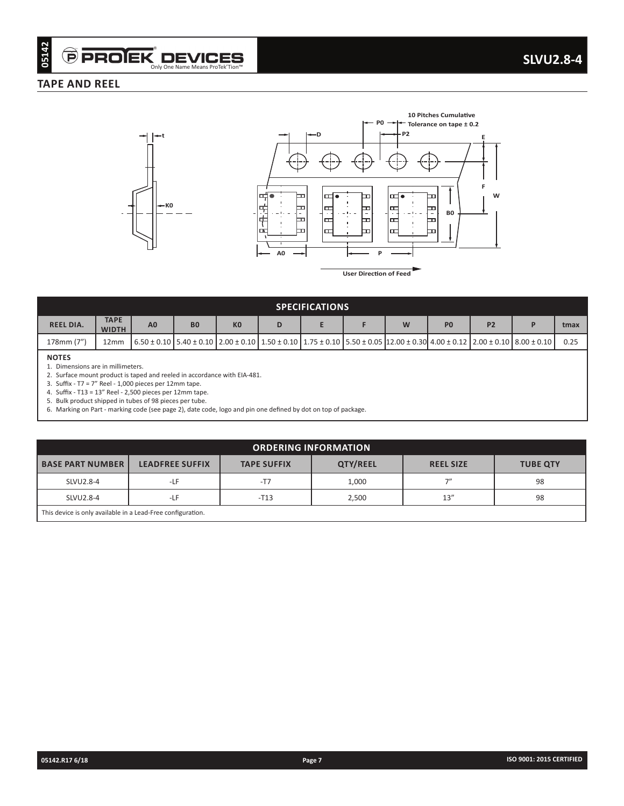#### **TAPE AND REEL**





| <b>SPECIFICATIONS</b> |                                                                                                                                                                                                                                |                |                |                |   |  |  |   |                |                |  |      |
|-----------------------|--------------------------------------------------------------------------------------------------------------------------------------------------------------------------------------------------------------------------------|----------------|----------------|----------------|---|--|--|---|----------------|----------------|--|------|
| <b>REEL DIA.</b>      | <b>TAPE</b><br><b>WIDTH</b>                                                                                                                                                                                                    | A <sub>0</sub> | B <sub>0</sub> | K <sub>0</sub> | D |  |  | W | P <sub>0</sub> | P <sub>2</sub> |  | tmax |
| 178mm (7")            | 12mm                                                                                                                                                                                                                           |                |                |                |   |  |  |   |                |                |  | 0.25 |
| <b>NOTES</b>          | $(6.50 \pm 0.10)$ 5.40 $\pm$ 0.10 $(2.00 \pm 0.10)$ 1.50 $\pm$ 0.10 $(1.75 \pm 0.10)$ 5.50 $\pm$ 0.05 $(12.00 \pm 0.30)$ 4.00 $\pm$ 0.12 $(2.00 \pm 0.10)$ 8.00 $\pm$ 0.10 $(8.00 \pm 0.10)$<br>Dimensions are in millimeters. |                |                |                |   |  |  |   |                |                |  |      |

| <b>TAPE AND REEL</b>                                        | Only One Name Means ProTek'Tion™                                                                                    | <b>P PROJEK DEVICES</b>                                                                                                                                                                                                                                                               |                                                                                              |                        |                                                                                                                              |                |                 | <b>SLVU2.8-4</b> |
|-------------------------------------------------------------|---------------------------------------------------------------------------------------------------------------------|---------------------------------------------------------------------------------------------------------------------------------------------------------------------------------------------------------------------------------------------------------------------------------------|----------------------------------------------------------------------------------------------|------------------------|------------------------------------------------------------------------------------------------------------------------------|----------------|-----------------|------------------|
|                                                             |                                                                                                                     |                                                                                                                                                                                                                                                                                       |                                                                                              |                        |                                                                                                                              |                |                 |                  |
|                                                             | ←t<br>⊢ко                                                                                                           | 퍾<br>$\bullet$<br>⊐<br>柏<br>≖<br>$\ddot{\tau}$<br>F<br>$\blacksquare$<br>F<br>A0                                                                                                                                                                                                      | $\leftarrow$ D<br>๛<br>ᄆ<br>ᆮ<br>尸<br>ᄆ<br>ᄆ<br>F<br>ᄆ<br>Þ<br><b>User Direction of Feed</b> | P2<br>๛<br>ᄄ<br>ᄄ<br>罒 | 10 Pitches Cumulative<br>$P0 \rightarrow \neq$ Tolerance on tape ± 0.2<br>O<br>≖<br>BO<br>$\overline{\phantom{a}}$<br>ᇁ<br>F | W              |                 |                  |
|                                                             |                                                                                                                     |                                                                                                                                                                                                                                                                                       | <b>SPECIFICATIONS</b>                                                                        |                        |                                                                                                                              |                |                 |                  |
| <b>TAPE</b><br><b>REEL DIA.</b><br><b>WIDTH</b>             | A <sub>0</sub><br>B <sub>0</sub>                                                                                    | K <sub>0</sub><br>D                                                                                                                                                                                                                                                                   | E<br>F                                                                                       | W                      | P <sub>0</sub>                                                                                                               | P <sub>2</sub> | P               | tmax             |
| 178mm (7")<br>12mm                                          |                                                                                                                     | $6.50 \pm 0.10 \left[ 5.40 \pm 0.10 \right] \left[ 2.00 \pm 0.10 \right] \left[ 1.50 \pm 0.10 \right] \left[ 1.75 \pm 0.10 \right] \left[ 5.50 \pm 0.05 \right] \left[ 12.00 \pm 0.30 \right] \left[ 4.00 \pm 0.12 \right] \left[ 2.00 \pm 0.10 \right] \left[ 8.00 \pm 0.10 \right]$ |                                                                                              |                        |                                                                                                                              |                |                 | 0.25             |
|                                                             | 4. Suffix - T13 = 13" Reel - 2,500 pieces per 12mm tape.<br>5. Bulk product shipped in tubes of 98 pieces per tube. | 6. Marking on Part - marking code (see page 2), date code, logo and pin one defined by dot on top of package.                                                                                                                                                                         | <b>ORDERING INFORMATION</b>                                                                  |                        |                                                                                                                              |                |                 |                  |
| <b>BASE PART NUMBER</b>                                     | <b>LEADFREE SUFFIX</b>                                                                                              | <b>TAPE SUFFIX</b>                                                                                                                                                                                                                                                                    | QTY/REEL                                                                                     |                        | <b>REEL SIZE</b>                                                                                                             |                | <b>TUBE QTY</b> |                  |
| SLVU2.8-4                                                   | $-LF$                                                                                                               | $-T7$                                                                                                                                                                                                                                                                                 | 1,000                                                                                        |                        | 7"                                                                                                                           |                | 98              |                  |
| SLVU2.8-4                                                   | $-LF$                                                                                                               | $-T13$                                                                                                                                                                                                                                                                                | 2,500                                                                                        |                        | 13''                                                                                                                         |                | 98              |                  |
| This device is only available in a Lead-Free configuration. |                                                                                                                     |                                                                                                                                                                                                                                                                                       |                                                                                              |                        |                                                                                                                              |                |                 |                  |
|                                                             |                                                                                                                     |                                                                                                                                                                                                                                                                                       |                                                                                              |                        |                                                                                                                              |                |                 |                  |